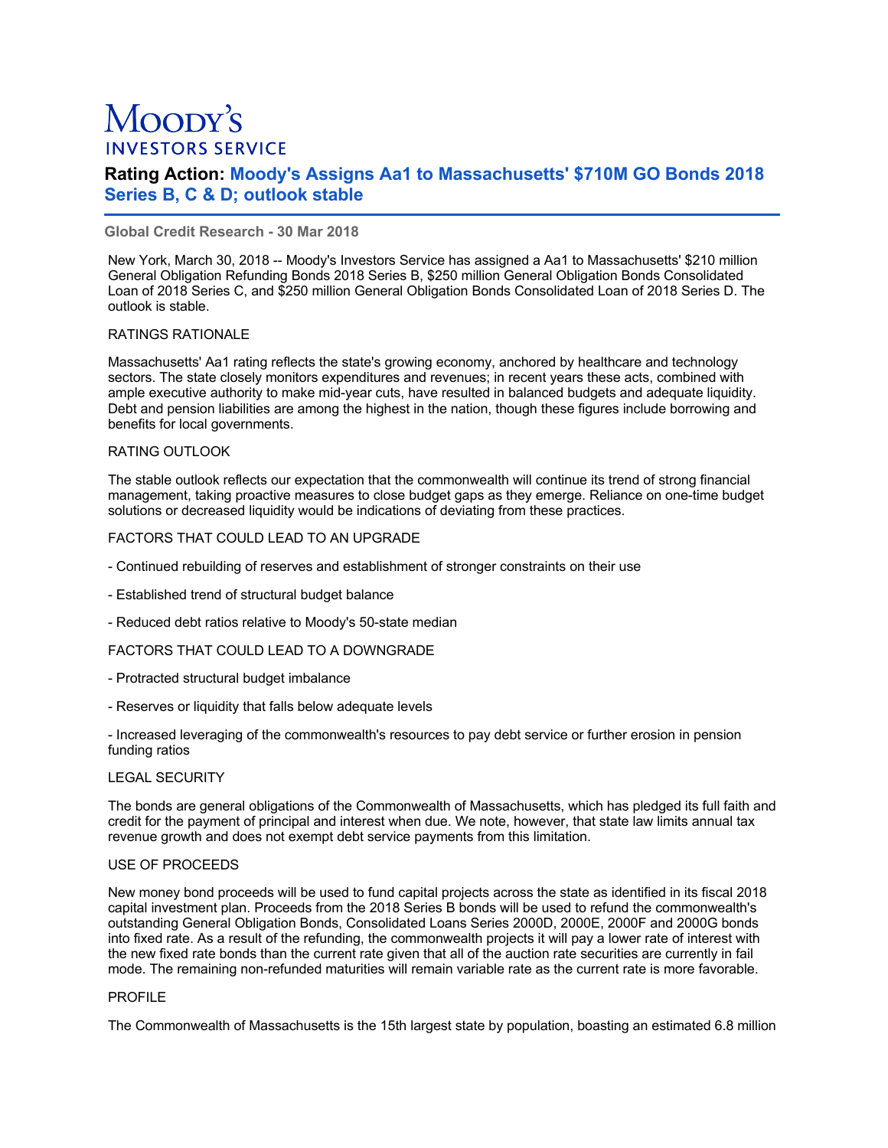# Moopy's **INVESTORS SERVICE**

# **Rating Action: Moody's Assigns Aa1 to Massachusetts' \$710M GO Bonds 2018 Series B, C & D; outlook stable**

# **Global Credit Research - 30 Mar 2018**

New York, March 30, 2018 -- Moody's Investors Service has assigned a Aa1 to Massachusetts' \$210 million General Obligation Refunding Bonds 2018 Series B, \$250 million General Obligation Bonds Consolidated Loan of 2018 Series C, and \$250 million General Obligation Bonds Consolidated Loan of 2018 Series D. The outlook is stable.

# RATINGS RATIONALE

Massachusetts' Aa1 rating reflects the state's growing economy, anchored by healthcare and technology sectors. The state closely monitors expenditures and revenues; in recent years these acts, combined with ample executive authority to make mid-year cuts, have resulted in balanced budgets and adequate liquidity. Debt and pension liabilities are among the highest in the nation, though these figures include borrowing and benefits for local governments.

# RATING OUTLOOK

The stable outlook reflects our expectation that the commonwealth will continue its trend of strong financial management, taking proactive measures to close budget gaps as they emerge. Reliance on one-time budget solutions or decreased liquidity would be indications of deviating from these practices.

# FACTORS THAT COULD LEAD TO AN UPGRADE

- Continued rebuilding of reserves and establishment of stronger constraints on their use
- Established trend of structural budget balance
- Reduced debt ratios relative to Moody's 50-state median

#### FACTORS THAT COULD LEAD TO A DOWNGRADE

- Protracted structural budget imbalance
- Reserves or liquidity that falls below adequate levels

- Increased leveraging of the commonwealth's resources to pay debt service or further erosion in pension funding ratios

#### LEGAL SECURITY

The bonds are general obligations of the Commonwealth of Massachusetts, which has pledged its full faith and credit for the payment of principal and interest when due. We note, however, that state law limits annual tax revenue growth and does not exempt debt service payments from this limitation.

#### USE OF PROCEEDS

New money bond proceeds will be used to fund capital projects across the state as identified in its fiscal 2018 capital investment plan. Proceeds from the 2018 Series B bonds will be used to refund the commonwealth's outstanding General Obligation Bonds, Consolidated Loans Series 2000D, 2000E, 2000F and 2000G bonds into fixed rate. As a result of the refunding, the commonwealth projects it will pay a lower rate of interest with the new fixed rate bonds than the current rate given that all of the auction rate securities are currently in fail mode. The remaining non-refunded maturities will remain variable rate as the current rate is more favorable.

#### PROFILE

The Commonwealth of Massachusetts is the 15th largest state by population, boasting an estimated 6.8 million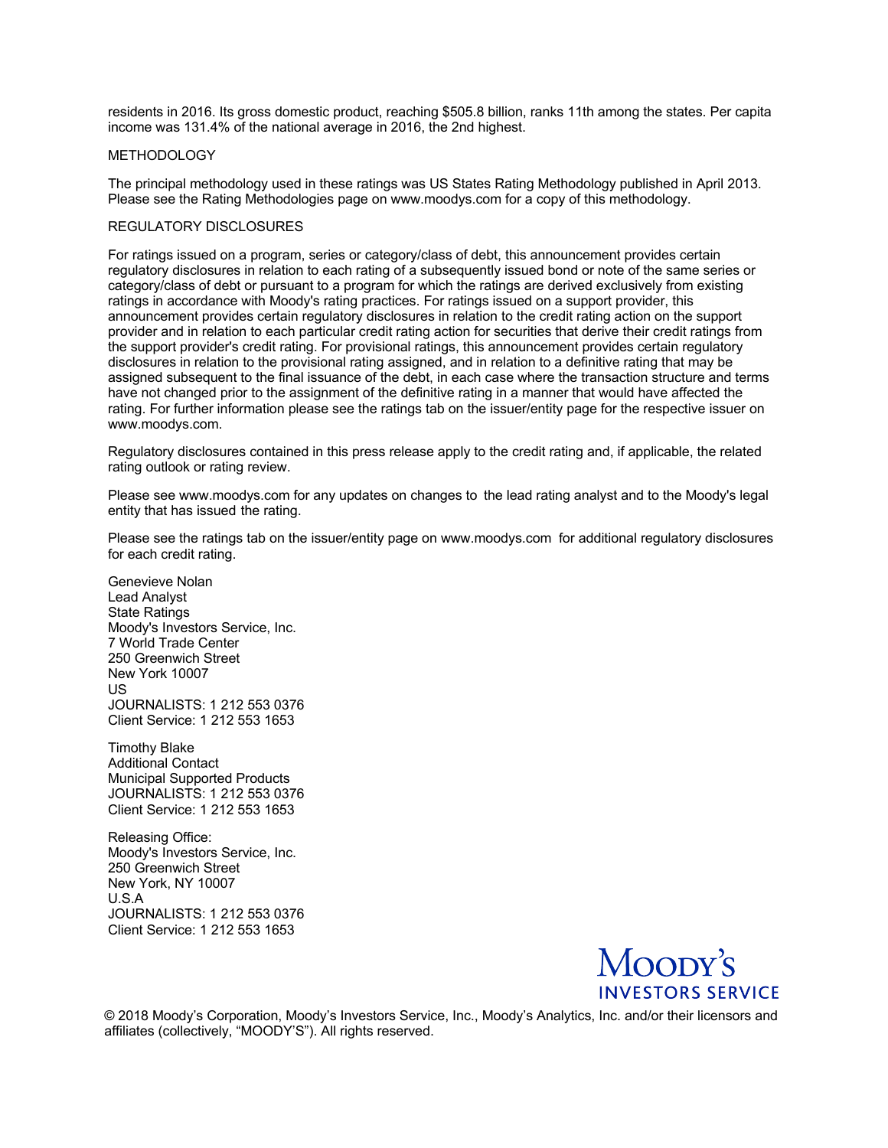residents in 2016. Its gross domestic product, reaching \$505.8 billion, ranks 11th among the states. Per capita income was 131.4% of the national average in 2016, the 2nd highest.

#### METHODOLOGY

The principal methodology used in these ratings was US States Rating Methodology published in April 2013. Please see the Rating Methodologies page on www.moodys.com for a copy of this methodology.

# REGULATORY DISCLOSURES

For ratings issued on a program, series or category/class of debt, this announcement provides certain regulatory disclosures in relation to each rating of a subsequently issued bond or note of the same series or category/class of debt or pursuant to a program for which the ratings are derived exclusively from existing ratings in accordance with Moody's rating practices. For ratings issued on a support provider, this announcement provides certain regulatory disclosures in relation to the credit rating action on the support provider and in relation to each particular credit rating action for securities that derive their credit ratings from the support provider's credit rating. For provisional ratings, this announcement provides certain regulatory disclosures in relation to the provisional rating assigned, and in relation to a definitive rating that may be assigned subsequent to the final issuance of the debt, in each case where the transaction structure and terms have not changed prior to the assignment of the definitive rating in a manner that would have affected the rating. For further information please see the ratings tab on the issuer/entity page for the respective issuer on www.moodys.com.

Regulatory disclosures contained in this press release apply to the credit rating and, if applicable, the related rating outlook or rating review.

Please see www.moodys.com for any updates on changes to the lead rating analyst and to the Moody's legal entity that has issued the rating.

Please see the ratings tab on the issuer/entity page on www.moodys.com for additional regulatory disclosures for each credit rating.

Genevieve Nolan Lead Analyst State Ratings Moody's Investors Service, Inc. 7 World Trade Center 250 Greenwich Street New York 10007 US JOURNALISTS: 1 212 553 0376 Client Service: 1 212 553 1653

Timothy Blake Additional Contact Municipal Supported Products JOURNALISTS: 1 212 553 0376 Client Service: 1 212 553 1653

Releasing Office: Moody's Investors Service, Inc. 250 Greenwich Street New York, NY 10007 U.S.A JOURNALISTS: 1 212 553 0376 Client Service: 1 212 553 1653



© 2018 Moody's Corporation, Moody's Investors Service, Inc., Moody's Analytics, Inc. and/or their licensors and affiliates (collectively, "MOODY'S"). All rights reserved.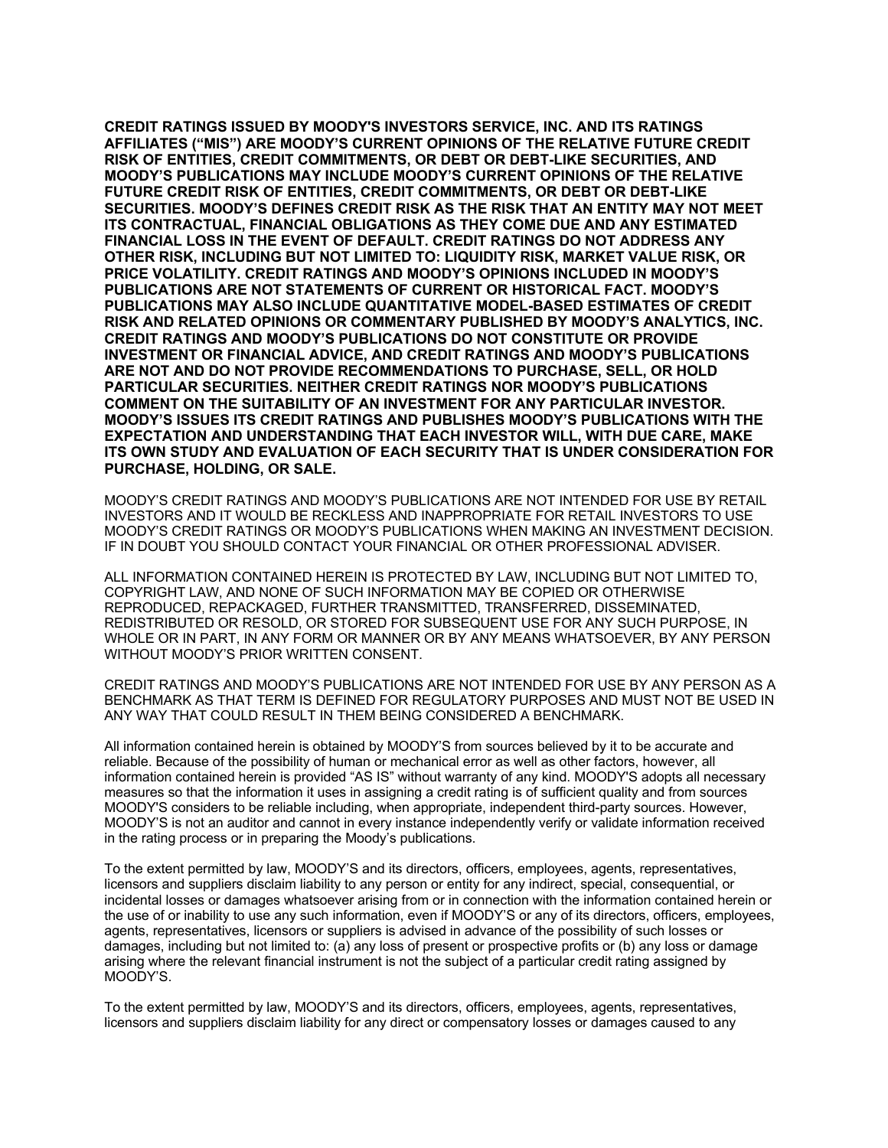**CREDIT RATINGS ISSUED BY MOODY'S INVESTORS SERVICE, INC. AND ITS RATINGS AFFILIATES ("MIS") ARE MOODY'S CURRENT OPINIONS OF THE RELATIVE FUTURE CREDIT RISK OF ENTITIES, CREDIT COMMITMENTS, OR DEBT OR DEBT-LIKE SECURITIES, AND MOODY'S PUBLICATIONS MAY INCLUDE MOODY'S CURRENT OPINIONS OF THE RELATIVE FUTURE CREDIT RISK OF ENTITIES, CREDIT COMMITMENTS, OR DEBT OR DEBT-LIKE SECURITIES. MOODY'S DEFINES CREDIT RISK AS THE RISK THAT AN ENTITY MAY NOT MEET ITS CONTRACTUAL, FINANCIAL OBLIGATIONS AS THEY COME DUE AND ANY ESTIMATED FINANCIAL LOSS IN THE EVENT OF DEFAULT. CREDIT RATINGS DO NOT ADDRESS ANY OTHER RISK, INCLUDING BUT NOT LIMITED TO: LIQUIDITY RISK, MARKET VALUE RISK, OR PRICE VOLATILITY. CREDIT RATINGS AND MOODY'S OPINIONS INCLUDED IN MOODY'S PUBLICATIONS ARE NOT STATEMENTS OF CURRENT OR HISTORICAL FACT. MOODY'S PUBLICATIONS MAY ALSO INCLUDE QUANTITATIVE MODEL-BASED ESTIMATES OF CREDIT RISK AND RELATED OPINIONS OR COMMENTARY PUBLISHED BY MOODY'S ANALYTICS, INC. CREDIT RATINGS AND MOODY'S PUBLICATIONS DO NOT CONSTITUTE OR PROVIDE INVESTMENT OR FINANCIAL ADVICE, AND CREDIT RATINGS AND MOODY'S PUBLICATIONS ARE NOT AND DO NOT PROVIDE RECOMMENDATIONS TO PURCHASE, SELL, OR HOLD PARTICULAR SECURITIES. NEITHER CREDIT RATINGS NOR MOODY'S PUBLICATIONS COMMENT ON THE SUITABILITY OF AN INVESTMENT FOR ANY PARTICULAR INVESTOR. MOODY'S ISSUES ITS CREDIT RATINGS AND PUBLISHES MOODY'S PUBLICATIONS WITH THE EXPECTATION AND UNDERSTANDING THAT EACH INVESTOR WILL, WITH DUE CARE, MAKE ITS OWN STUDY AND EVALUATION OF EACH SECURITY THAT IS UNDER CONSIDERATION FOR PURCHASE, HOLDING, OR SALE.**

MOODY'S CREDIT RATINGS AND MOODY'S PUBLICATIONS ARE NOT INTENDED FOR USE BY RETAIL INVESTORS AND IT WOULD BE RECKLESS AND INAPPROPRIATE FOR RETAIL INVESTORS TO USE MOODY'S CREDIT RATINGS OR MOODY'S PUBLICATIONS WHEN MAKING AN INVESTMENT DECISION. IF IN DOUBT YOU SHOULD CONTACT YOUR FINANCIAL OR OTHER PROFESSIONAL ADVISER.

ALL INFORMATION CONTAINED HEREIN IS PROTECTED BY LAW, INCLUDING BUT NOT LIMITED TO, COPYRIGHT LAW, AND NONE OF SUCH INFORMATION MAY BE COPIED OR OTHERWISE REPRODUCED, REPACKAGED, FURTHER TRANSMITTED, TRANSFERRED, DISSEMINATED, REDISTRIBUTED OR RESOLD, OR STORED FOR SUBSEQUENT USE FOR ANY SUCH PURPOSE, IN WHOLE OR IN PART, IN ANY FORM OR MANNER OR BY ANY MEANS WHATSOEVER, BY ANY PERSON WITHOUT MOODY'S PRIOR WRITTEN CONSENT.

CREDIT RATINGS AND MOODY'S PUBLICATIONS ARE NOT INTENDED FOR USE BY ANY PERSON AS A BENCHMARK AS THAT TERM IS DEFINED FOR REGULATORY PURPOSES AND MUST NOT BE USED IN ANY WAY THAT COULD RESULT IN THEM BEING CONSIDERED A BENCHMARK.

All information contained herein is obtained by MOODY'S from sources believed by it to be accurate and reliable. Because of the possibility of human or mechanical error as well as other factors, however, all information contained herein is provided "AS IS" without warranty of any kind. MOODY'S adopts all necessary measures so that the information it uses in assigning a credit rating is of sufficient quality and from sources MOODY'S considers to be reliable including, when appropriate, independent third-party sources. However, MOODY'S is not an auditor and cannot in every instance independently verify or validate information received in the rating process or in preparing the Moody's publications.

To the extent permitted by law, MOODY'S and its directors, officers, employees, agents, representatives, licensors and suppliers disclaim liability to any person or entity for any indirect, special, consequential, or incidental losses or damages whatsoever arising from or in connection with the information contained herein or the use of or inability to use any such information, even if MOODY'S or any of its directors, officers, employees, agents, representatives, licensors or suppliers is advised in advance of the possibility of such losses or damages, including but not limited to: (a) any loss of present or prospective profits or (b) any loss or damage arising where the relevant financial instrument is not the subject of a particular credit rating assigned by MOODY'S.

To the extent permitted by law, MOODY'S and its directors, officers, employees, agents, representatives, licensors and suppliers disclaim liability for any direct or compensatory losses or damages caused to any